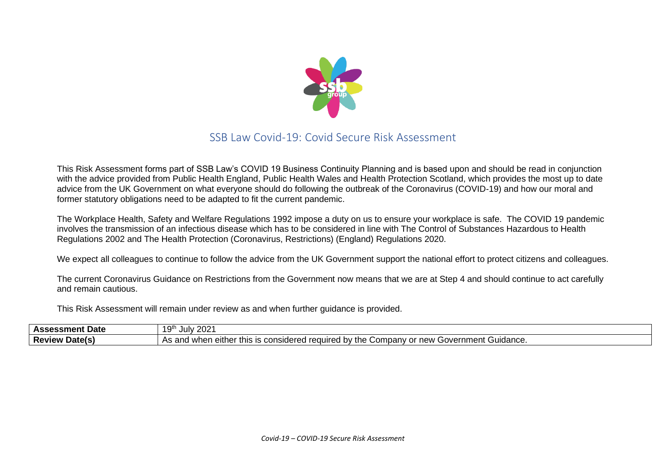

## SSB Law Covid-19: Covid Secure Risk Assessment

This Risk Assessment forms part of SSB Law's COVID 19 Business Continuity Planning and is based upon and should be read in conjunction with the advice provided from Public Health England, Public Health Wales and Health Protection Scotland, which provides the most up to date advice from the UK Government on what everyone should do following the outbreak of the Coronavirus (COVID-19) and how our moral and former statutory obligations need to be adapted to fit the current pandemic.

The Workplace Health, Safety and Welfare Regulations 1992 impose a duty on us to ensure your workplace is safe. The COVID 19 pandemic involves the transmission of an infectious disease which has to be considered in line with The Control of Substances Hazardous to Health Regulations 2002 and The Health Protection (Coronavirus, Restrictions) (England) Regulations 2020.

We expect all colleagues to continue to follow the advice from the UK Government support the national effort to protect citizens and colleagues.

The current Coronavirus Guidance on Restrictions from the Government now means that we are at Step 4 and should continue to act carefully and remain cautious.

This Risk Assessment will remain under review as and when further guidance is provided.

| Date<br>ASSessment       | $\sim$ $\sim$<br>⊢n+h<br>⊸ull∨ ∶<br>202                                                                                                                                                                                                                         |
|--------------------------|-----------------------------------------------------------------------------------------------------------------------------------------------------------------------------------------------------------------------------------------------------------------|
| <b>Review</b><br>Date(s) | . Jonsidered i<br>Guidance.<br><b>Preduired</b> u<br>nna<br>าment<br>new<br>$\sim$ $\sim$ $\sim$ $\sim$<br>eithe.<br>.<br>- 10<br>the.<br>⊶ompan∨<br>$M^{\prime}$<br>11 C<br>. . ∩r<br>Tr<br>ער<br>$\sim$ $\sim$ $\sim$ $\sim$<br>anu w<br>וסו<br>.<br>. .<br>w |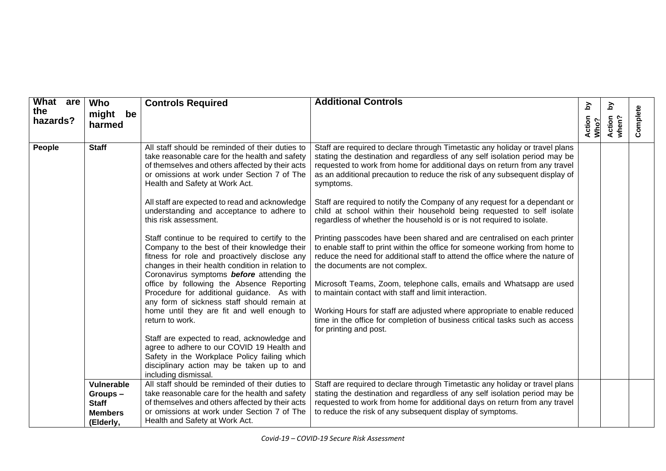| What are<br>the<br>hazards? | <b>Who</b><br>might be<br>harmed                                            | <b>Controls Required</b>                                                                                                                                                                                                                                                                                                                                                                                                                                                                                                                                                                                                                                                                                                                                                                                                                                                                                                                                                                                                                                | <b>Additional Controls</b>                                                                                                                                                                                                                                                                                                                                                                                                                                                                                                                                                                                                                                                                                                                                                                                                                                                                                                                                                                                                                                                                                                                                              | <u>کر</u><br>Action<br>Who? | <u>ই</u><br>Action<br>when? | Complete |
|-----------------------------|-----------------------------------------------------------------------------|---------------------------------------------------------------------------------------------------------------------------------------------------------------------------------------------------------------------------------------------------------------------------------------------------------------------------------------------------------------------------------------------------------------------------------------------------------------------------------------------------------------------------------------------------------------------------------------------------------------------------------------------------------------------------------------------------------------------------------------------------------------------------------------------------------------------------------------------------------------------------------------------------------------------------------------------------------------------------------------------------------------------------------------------------------|-------------------------------------------------------------------------------------------------------------------------------------------------------------------------------------------------------------------------------------------------------------------------------------------------------------------------------------------------------------------------------------------------------------------------------------------------------------------------------------------------------------------------------------------------------------------------------------------------------------------------------------------------------------------------------------------------------------------------------------------------------------------------------------------------------------------------------------------------------------------------------------------------------------------------------------------------------------------------------------------------------------------------------------------------------------------------------------------------------------------------------------------------------------------------|-----------------------------|-----------------------------|----------|
| People                      | <b>Staff</b>                                                                | All staff should be reminded of their duties to<br>take reasonable care for the health and safety<br>of themselves and others affected by their acts<br>or omissions at work under Section 7 of The<br>Health and Safety at Work Act.<br>All staff are expected to read and acknowledge<br>understanding and acceptance to adhere to<br>this risk assessment.<br>Staff continue to be required to certify to the<br>Company to the best of their knowledge their<br>fitness for role and proactively disclose any<br>changes in their health condition in relation to<br>Coronavirus symptoms <b>before</b> attending the<br>office by following the Absence Reporting<br>Procedure for additional guidance. As with<br>any form of sickness staff should remain at<br>home until they are fit and well enough to<br>return to work.<br>Staff are expected to read, acknowledge and<br>agree to adhere to our COVID 19 Health and<br>Safety in the Workplace Policy failing which<br>disciplinary action may be taken up to and<br>including dismissal. | Staff are required to declare through Timetastic any holiday or travel plans<br>stating the destination and regardless of any self isolation period may be<br>requested to work from home for additional days on return from any travel<br>as an additional precaution to reduce the risk of any subsequent display of<br>symptoms.<br>Staff are required to notify the Company of any request for a dependant or<br>child at school within their household being requested to self isolate<br>regardless of whether the household is or is not required to isolate.<br>Printing passcodes have been shared and are centralised on each printer<br>to enable staff to print within the office for someone working from home to<br>reduce the need for additional staff to attend the office where the nature of<br>the documents are not complex.<br>Microsoft Teams, Zoom, telephone calls, emails and Whatsapp are used<br>to maintain contact with staff and limit interaction.<br>Working Hours for staff are adjusted where appropriate to enable reduced<br>time in the office for completion of business critical tasks such as access<br>for printing and post. |                             |                             |          |
|                             | <b>Vulnerable</b><br>Groups-<br><b>Staff</b><br><b>Members</b><br>(Elderly, | All staff should be reminded of their duties to<br>take reasonable care for the health and safety<br>of themselves and others affected by their acts<br>or omissions at work under Section 7 of The<br>Health and Safety at Work Act.                                                                                                                                                                                                                                                                                                                                                                                                                                                                                                                                                                                                                                                                                                                                                                                                                   | Staff are required to declare through Timetastic any holiday or travel plans<br>stating the destination and regardless of any self isolation period may be<br>requested to work from home for additional days on return from any travel<br>to reduce the risk of any subsequent display of symptoms.                                                                                                                                                                                                                                                                                                                                                                                                                                                                                                                                                                                                                                                                                                                                                                                                                                                                    |                             |                             |          |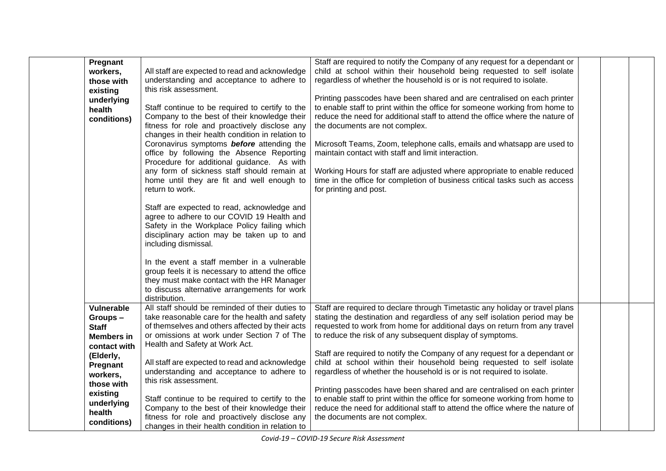| Pregnant          |                                                  | Staff are required to notify the Company of any request for a dependant or    |  |
|-------------------|--------------------------------------------------|-------------------------------------------------------------------------------|--|
| workers,          | All staff are expected to read and acknowledge   | child at school within their household being requested to self isolate        |  |
| those with        | understanding and acceptance to adhere to        | regardless of whether the household is or is not required to isolate.         |  |
|                   | this risk assessment.                            |                                                                               |  |
| existing          |                                                  | Printing passcodes have been shared and are centralised on each printer       |  |
| underlying        |                                                  |                                                                               |  |
| health            | Staff continue to be required to certify to the  | to enable staff to print within the office for someone working from home to   |  |
| conditions)       | Company to the best of their knowledge their     | reduce the need for additional staff to attend the office where the nature of |  |
|                   | fitness for role and proactively disclose any    | the documents are not complex.                                                |  |
|                   | changes in their health condition in relation to |                                                                               |  |
|                   | Coronavirus symptoms before attending the        | Microsoft Teams, Zoom, telephone calls, emails and whatsapp are used to       |  |
|                   | office by following the Absence Reporting        | maintain contact with staff and limit interaction.                            |  |
|                   | Procedure for additional guidance. As with       |                                                                               |  |
|                   | any form of sickness staff should remain at      | Working Hours for staff are adjusted where appropriate to enable reduced      |  |
|                   | home until they are fit and well enough to       | time in the office for completion of business critical tasks such as access   |  |
|                   | return to work.                                  | for printing and post.                                                        |  |
|                   |                                                  |                                                                               |  |
|                   | Staff are expected to read, acknowledge and      |                                                                               |  |
|                   | agree to adhere to our COVID 19 Health and       |                                                                               |  |
|                   | Safety in the Workplace Policy failing which     |                                                                               |  |
|                   | disciplinary action may be taken up to and       |                                                                               |  |
|                   |                                                  |                                                                               |  |
|                   | including dismissal.                             |                                                                               |  |
|                   |                                                  |                                                                               |  |
|                   | In the event a staff member in a vulnerable      |                                                                               |  |
|                   | group feels it is necessary to attend the office |                                                                               |  |
|                   | they must make contact with the HR Manager       |                                                                               |  |
|                   | to discuss alternative arrangements for work     |                                                                               |  |
|                   | distribution.                                    |                                                                               |  |
| Vulnerable        | All staff should be reminded of their duties to  | Staff are required to declare through Timetastic any holiday or travel plans  |  |
| Groups-           | take reasonable care for the health and safety   | stating the destination and regardless of any self isolation period may be    |  |
| <b>Staff</b>      | of themselves and others affected by their acts  | requested to work from home for additional days on return from any travel     |  |
| <b>Members in</b> | or omissions at work under Section 7 of The      | to reduce the risk of any subsequent display of symptoms.                     |  |
| contact with      | Health and Safety at Work Act.                   |                                                                               |  |
| (Elderly,         |                                                  | Staff are required to notify the Company of any request for a dependant or    |  |
| Pregnant          | All staff are expected to read and acknowledge   | child at school within their household being requested to self isolate        |  |
|                   | understanding and acceptance to adhere to        | regardless of whether the household is or is not required to isolate.         |  |
| workers,          | this risk assessment.                            |                                                                               |  |
| those with        |                                                  | Printing passcodes have been shared and are centralised on each printer       |  |
| existing          | Staff continue to be required to certify to the  | to enable staff to print within the office for someone working from home to   |  |
| underlying        |                                                  |                                                                               |  |
| health            | Company to the best of their knowledge their     | reduce the need for additional staff to attend the office where the nature of |  |
| conditions)       | fitness for role and proactively disclose any    | the documents are not complex.                                                |  |
|                   | changes in their health condition in relation to |                                                                               |  |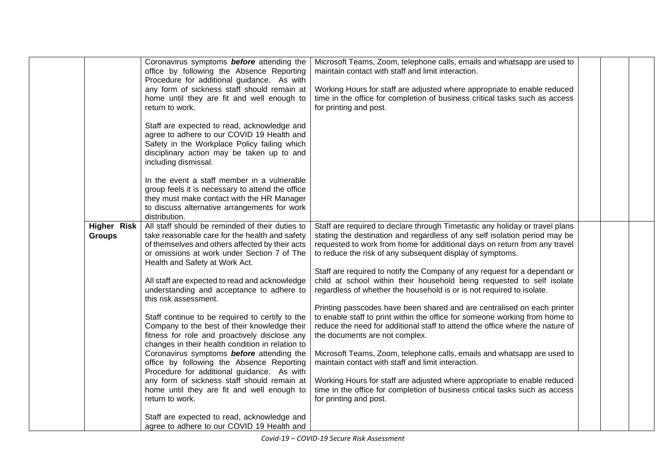|                                     | Coronavirus symptoms <b>before</b> attending the<br>office by following the Absence Reporting<br>Procedure for additional guidance. As with<br>any form of sickness staff should remain at<br>home until they are fit and well enough to<br>return to work.<br>Staff are expected to read, acknowledge and<br>agree to adhere to our COVID 19 Health and<br>Safety in the Workplace Policy failing which<br>disciplinary action may be taken up to and                                                                                                                                                                                                                                                                                                                                                                                                                       | Microsoft Teams, Zoom, telephone calls, emails and whatsapp are used to<br>maintain contact with staff and limit interaction.<br>Working Hours for staff are adjusted where appropriate to enable reduced<br>time in the office for completion of business critical tasks such as access<br>for printing and post.                                                                                                                                                                                                                                                                                                                                                                                                                                                                                                                                                                                                                                                                                                                                                                                                                       |  |  |
|-------------------------------------|------------------------------------------------------------------------------------------------------------------------------------------------------------------------------------------------------------------------------------------------------------------------------------------------------------------------------------------------------------------------------------------------------------------------------------------------------------------------------------------------------------------------------------------------------------------------------------------------------------------------------------------------------------------------------------------------------------------------------------------------------------------------------------------------------------------------------------------------------------------------------|------------------------------------------------------------------------------------------------------------------------------------------------------------------------------------------------------------------------------------------------------------------------------------------------------------------------------------------------------------------------------------------------------------------------------------------------------------------------------------------------------------------------------------------------------------------------------------------------------------------------------------------------------------------------------------------------------------------------------------------------------------------------------------------------------------------------------------------------------------------------------------------------------------------------------------------------------------------------------------------------------------------------------------------------------------------------------------------------------------------------------------------|--|--|
|                                     | including dismissal.<br>In the event a staff member in a vulnerable<br>group feels it is necessary to attend the office<br>they must make contact with the HR Manager<br>to discuss alternative arrangements for work<br>distribution.                                                                                                                                                                                                                                                                                                                                                                                                                                                                                                                                                                                                                                       |                                                                                                                                                                                                                                                                                                                                                                                                                                                                                                                                                                                                                                                                                                                                                                                                                                                                                                                                                                                                                                                                                                                                          |  |  |
| <b>Higher Risk</b><br><b>Groups</b> | All staff should be reminded of their duties to<br>take reasonable care for the health and safety<br>of themselves and others affected by their acts<br>or omissions at work under Section 7 of The<br>Health and Safety at Work Act.<br>All staff are expected to read and acknowledge<br>understanding and acceptance to adhere to<br>this risk assessment.<br>Staff continue to be required to certify to the<br>Company to the best of their knowledge their<br>fitness for role and proactively disclose any<br>changes in their health condition in relation to<br>Coronavirus symptoms before attending the<br>office by following the Absence Reporting<br>Procedure for additional guidance. As with<br>any form of sickness staff should remain at<br>home until they are fit and well enough to<br>return to work.<br>Staff are expected to read, acknowledge and | Staff are required to declare through Timetastic any holiday or travel plans<br>stating the destination and regardless of any self isolation period may be<br>requested to work from home for additional days on return from any travel<br>to reduce the risk of any subsequent display of symptoms.<br>Staff are required to notify the Company of any request for a dependant or<br>child at school within their household being requested to self isolate<br>regardless of whether the household is or is not required to isolate.<br>Printing passcodes have been shared and are centralised on each printer<br>to enable staff to print within the office for someone working from home to<br>reduce the need for additional staff to attend the office where the nature of<br>the documents are not complex.<br>Microsoft Teams, Zoom, telephone calls, emails and whatsapp are used to<br>maintain contact with staff and limit interaction.<br>Working Hours for staff are adjusted where appropriate to enable reduced<br>time in the office for completion of business critical tasks such as access<br>for printing and post. |  |  |
|                                     | agree to adhere to our COVID 19 Health and                                                                                                                                                                                                                                                                                                                                                                                                                                                                                                                                                                                                                                                                                                                                                                                                                                   |                                                                                                                                                                                                                                                                                                                                                                                                                                                                                                                                                                                                                                                                                                                                                                                                                                                                                                                                                                                                                                                                                                                                          |  |  |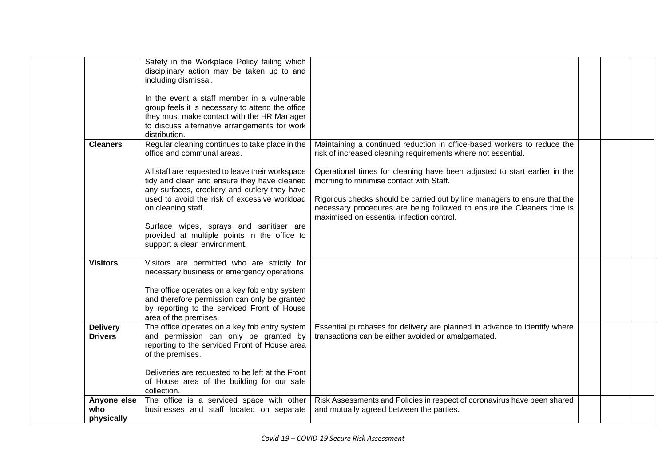|                   | Safety in the Workplace Policy failing which<br>disciplinary action may be taken up to and     |                                                                           |  |  |
|-------------------|------------------------------------------------------------------------------------------------|---------------------------------------------------------------------------|--|--|
|                   | including dismissal.                                                                           |                                                                           |  |  |
|                   |                                                                                                |                                                                           |  |  |
|                   | In the event a staff member in a vulnerable                                                    |                                                                           |  |  |
|                   | group feels it is necessary to attend the office<br>they must make contact with the HR Manager |                                                                           |  |  |
|                   | to discuss alternative arrangements for work                                                   |                                                                           |  |  |
|                   | distribution.                                                                                  |                                                                           |  |  |
| <b>Cleaners</b>   | Regular cleaning continues to take place in the                                                | Maintaining a continued reduction in office-based workers to reduce the   |  |  |
|                   | office and communal areas.                                                                     | risk of increased cleaning requirements where not essential.              |  |  |
|                   | All staff are requested to leave their workspace                                               | Operational times for cleaning have been adjusted to start earlier in the |  |  |
|                   | tidy and clean and ensure they have cleaned                                                    | morning to minimise contact with Staff.                                   |  |  |
|                   | any surfaces, crockery and cutlery they have<br>used to avoid the risk of excessive workload   | Rigorous checks should be carried out by line managers to ensure that the |  |  |
|                   | on cleaning staff.                                                                             | necessary procedures are being followed to ensure the Cleaners time is    |  |  |
|                   |                                                                                                | maximised on essential infection control.                                 |  |  |
|                   | Surface wipes, sprays and sanitiser are                                                        |                                                                           |  |  |
|                   | provided at multiple points in the office to                                                   |                                                                           |  |  |
|                   | support a clean environment.                                                                   |                                                                           |  |  |
| <b>Visitors</b>   | Visitors are permitted who are strictly for                                                    |                                                                           |  |  |
|                   | necessary business or emergency operations.                                                    |                                                                           |  |  |
|                   | The office operates on a key fob entry system                                                  |                                                                           |  |  |
|                   | and therefore permission can only be granted                                                   |                                                                           |  |  |
|                   | by reporting to the serviced Front of House                                                    |                                                                           |  |  |
| <b>Delivery</b>   | area of the premises.<br>The office operates on a key fob entry system                         | Essential purchases for delivery are planned in advance to identify where |  |  |
| <b>Drivers</b>    | and permission can only be granted by                                                          | transactions can be either avoided or amalgamated.                        |  |  |
|                   | reporting to the serviced Front of House area                                                  |                                                                           |  |  |
|                   | of the premises.                                                                               |                                                                           |  |  |
|                   | Deliveries are requested to be left at the Front                                               |                                                                           |  |  |
|                   | of House area of the building for our safe                                                     |                                                                           |  |  |
|                   | collection.                                                                                    |                                                                           |  |  |
| Anyone else       | The office is a serviced space with other                                                      | Risk Assessments and Policies in respect of coronavirus have been shared  |  |  |
| who<br>physically | businesses and staff located on separate                                                       | and mutually agreed between the parties.                                  |  |  |
|                   |                                                                                                |                                                                           |  |  |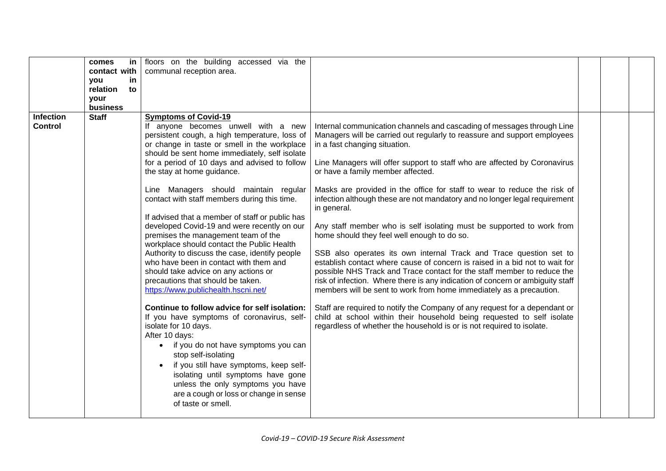|                                    | comes<br>in<br>contact with<br>in<br>you<br>relation<br>to<br>your<br>business | floors on the building accessed via the<br>communal reception area.                                                                                                                                                                                                                                                                                                                                                                                                                                                                                                                                                                                                                                                                                                                                                                                                                                                                                                                                                                                                                                                                                                                               |                                                                                                                                                                                                                                                                                                                                                                                                                                                                                                                                                                                                                                                                                                                                                                                                                                                                                                                                                                                                                                                                                                                                                                                                                                  |  |  |
|------------------------------------|--------------------------------------------------------------------------------|---------------------------------------------------------------------------------------------------------------------------------------------------------------------------------------------------------------------------------------------------------------------------------------------------------------------------------------------------------------------------------------------------------------------------------------------------------------------------------------------------------------------------------------------------------------------------------------------------------------------------------------------------------------------------------------------------------------------------------------------------------------------------------------------------------------------------------------------------------------------------------------------------------------------------------------------------------------------------------------------------------------------------------------------------------------------------------------------------------------------------------------------------------------------------------------------------|----------------------------------------------------------------------------------------------------------------------------------------------------------------------------------------------------------------------------------------------------------------------------------------------------------------------------------------------------------------------------------------------------------------------------------------------------------------------------------------------------------------------------------------------------------------------------------------------------------------------------------------------------------------------------------------------------------------------------------------------------------------------------------------------------------------------------------------------------------------------------------------------------------------------------------------------------------------------------------------------------------------------------------------------------------------------------------------------------------------------------------------------------------------------------------------------------------------------------------|--|--|
| <b>Infection</b><br><b>Control</b> | <b>Staff</b>                                                                   | <b>Symptoms of Covid-19</b><br>If anyone becomes unwell with a new<br>persistent cough, a high temperature, loss of<br>or change in taste or smell in the workplace<br>should be sent home immediately, self isolate<br>for a period of 10 days and advised to follow<br>the stay at home guidance.<br>Line Managers should maintain regular<br>contact with staff members during this time.<br>If advised that a member of staff or public has<br>developed Covid-19 and were recently on our<br>premises the management team of the<br>workplace should contact the Public Health<br>Authority to discuss the case, identify people<br>who have been in contact with them and<br>should take advice on any actions or<br>precautions that should be taken.<br>https://www.publichealth.hscni.net/<br>Continue to follow advice for self isolation:<br>If you have symptoms of coronavirus, self-<br>isolate for 10 days.<br>After 10 days:<br>• if you do not have symptoms you can<br>stop self-isolating<br>if you still have symptoms, keep self-<br>isolating until symptoms have gone<br>unless the only symptoms you have<br>are a cough or loss or change in sense<br>of taste or smell. | Internal communication channels and cascading of messages through Line<br>Managers will be carried out regularly to reassure and support employees<br>in a fast changing situation.<br>Line Managers will offer support to staff who are affected by Coronavirus<br>or have a family member affected.<br>Masks are provided in the office for staff to wear to reduce the risk of<br>infection although these are not mandatory and no longer legal requirement<br>in general.<br>Any staff member who is self isolating must be supported to work from<br>home should they feel well enough to do so.<br>SSB also operates its own internal Track and Trace question set to<br>establish contact where cause of concern is raised in a bid not to wait for<br>possible NHS Track and Trace contact for the staff member to reduce the<br>risk of infection. Where there is any indication of concern or ambiguity staff<br>members will be sent to work from home immediately as a precaution.<br>Staff are required to notify the Company of any request for a dependant or<br>child at school within their household being requested to self isolate<br>regardless of whether the household is or is not required to isolate. |  |  |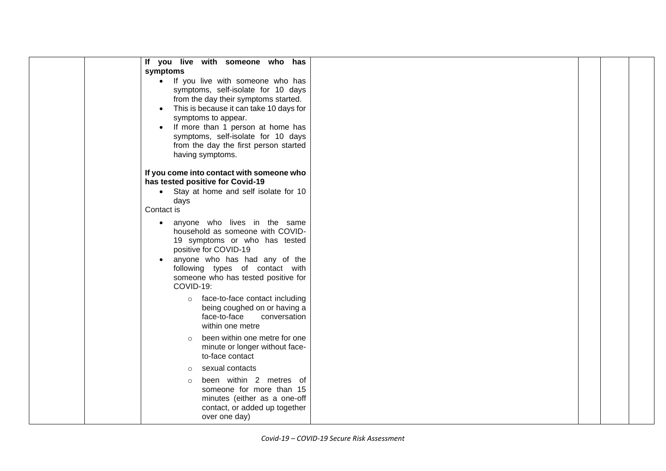|  | If you live with someone who has          |  |  |
|--|-------------------------------------------|--|--|
|  | symptoms                                  |  |  |
|  | • If you live with someone who has        |  |  |
|  | symptoms, self-isolate for 10 days        |  |  |
|  | from the day their symptoms started.      |  |  |
|  | This is because it can take 10 days for   |  |  |
|  | symptoms to appear.                       |  |  |
|  | If more than 1 person at home has         |  |  |
|  | symptoms, self-isolate for 10 days        |  |  |
|  | from the day the first person started     |  |  |
|  | having symptoms.                          |  |  |
|  | If you come into contact with someone who |  |  |
|  | has tested positive for Covid-19          |  |  |
|  | • Stay at home and self isolate for 10    |  |  |
|  | days                                      |  |  |
|  | Contact is                                |  |  |
|  | • anyone who lives in the same            |  |  |
|  | household as someone with COVID-          |  |  |
|  | 19 symptoms or who has tested             |  |  |
|  | positive for COVID-19                     |  |  |
|  | anyone who has had any of the             |  |  |
|  | following types of contact with           |  |  |
|  | someone who has tested positive for       |  |  |
|  | COVID-19:                                 |  |  |
|  | face-to-face contact including<br>$\circ$ |  |  |
|  | being coughed on or having a              |  |  |
|  | face-to-face<br>conversation              |  |  |
|  | within one metre                          |  |  |
|  | been within one metre for one<br>$\circ$  |  |  |
|  | minute or longer without face-            |  |  |
|  | to-face contact                           |  |  |
|  | sexual contacts<br>$\circ$                |  |  |
|  | been within 2 metres of<br>$\circ$        |  |  |
|  | someone for more than 15                  |  |  |
|  | minutes (either as a one-off              |  |  |
|  | contact, or added up together             |  |  |
|  | over one day)                             |  |  |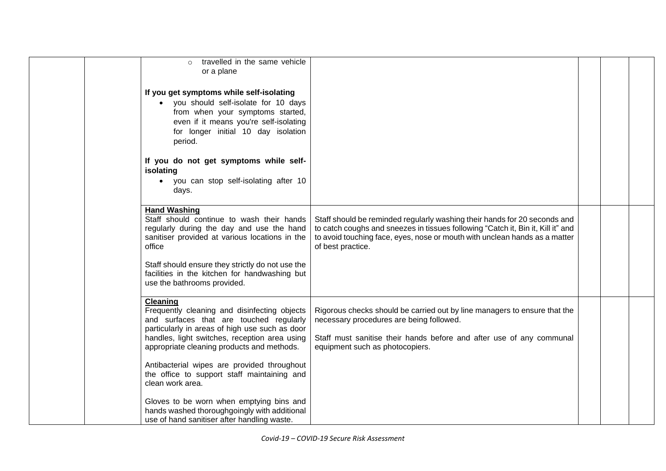| travelled in the same vehicle<br>$\circ$<br>or a plane                                                                                                                                                                                               |                                                                                                                                                                                                                                                                  |  |  |
|------------------------------------------------------------------------------------------------------------------------------------------------------------------------------------------------------------------------------------------------------|------------------------------------------------------------------------------------------------------------------------------------------------------------------------------------------------------------------------------------------------------------------|--|--|
| If you get symptoms while self-isolating<br>• you should self-isolate for 10 days<br>from when your symptoms started,<br>even if it means you're self-isolating<br>for longer initial 10 day isolation<br>period.                                    |                                                                                                                                                                                                                                                                  |  |  |
| If you do not get symptoms while self-<br>isolating<br>• you can stop self-isolating after 10<br>days.                                                                                                                                               |                                                                                                                                                                                                                                                                  |  |  |
| <b>Hand Washing</b><br>Staff should continue to wash their hands<br>regularly during the day and use the hand<br>sanitiser provided at various locations in the<br>office                                                                            | Staff should be reminded regularly washing their hands for 20 seconds and<br>to catch coughs and sneezes in tissues following "Catch it, Bin it, Kill it" and<br>to avoid touching face, eyes, nose or mouth with unclean hands as a matter<br>of best practice. |  |  |
| Staff should ensure they strictly do not use the<br>facilities in the kitchen for handwashing but<br>use the bathrooms provided.                                                                                                                     |                                                                                                                                                                                                                                                                  |  |  |
| Cleaning<br>Frequently cleaning and disinfecting objects<br>and surfaces that are touched regularly<br>particularly in areas of high use such as door<br>handles, light switches, reception area using<br>appropriate cleaning products and methods. | Rigorous checks should be carried out by line managers to ensure that the<br>necessary procedures are being followed.<br>Staff must sanitise their hands before and after use of any communal<br>equipment such as photocopiers.                                 |  |  |
| Antibacterial wipes are provided throughout<br>the office to support staff maintaining and<br>clean work area.                                                                                                                                       |                                                                                                                                                                                                                                                                  |  |  |
| Gloves to be worn when emptying bins and<br>hands washed thoroughgoingly with additional<br>use of hand sanitiser after handling waste.                                                                                                              |                                                                                                                                                                                                                                                                  |  |  |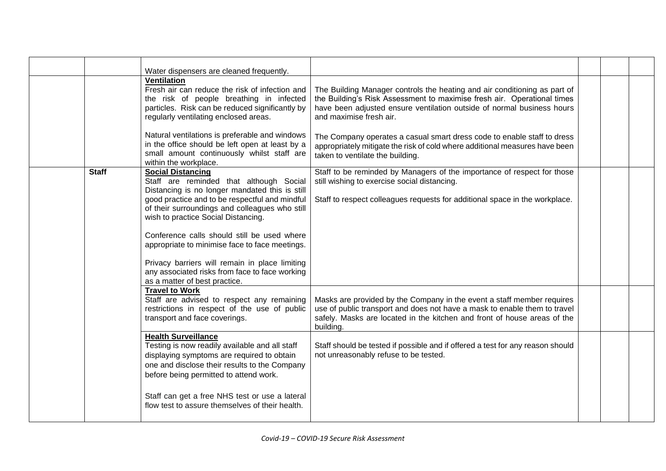|              | Water dispensers are cleaned frequently.                                                                                                                                                                                                                       |                                                                                                                                                                                                                                                           |  |  |
|--------------|----------------------------------------------------------------------------------------------------------------------------------------------------------------------------------------------------------------------------------------------------------------|-----------------------------------------------------------------------------------------------------------------------------------------------------------------------------------------------------------------------------------------------------------|--|--|
|              | <b>Ventilation</b><br>Fresh air can reduce the risk of infection and<br>the risk of people breathing in infected<br>particles. Risk can be reduced significantly by<br>regularly ventilating enclosed areas.<br>Natural ventilations is preferable and windows | The Building Manager controls the heating and air conditioning as part of<br>the Building's Risk Assessment to maximise fresh air. Operational times<br>have been adjusted ensure ventilation outside of normal business hours<br>and maximise fresh air. |  |  |
|              | in the office should be left open at least by a<br>small amount continuously whilst staff are<br>within the workplace.                                                                                                                                         | The Company operates a casual smart dress code to enable staff to dress<br>appropriately mitigate the risk of cold where additional measures have been<br>taken to ventilate the building.                                                                |  |  |
| <b>Staff</b> | <b>Social Distancing</b><br>Staff are reminded that although Social<br>Distancing is no longer mandated this is still                                                                                                                                          | Staff to be reminded by Managers of the importance of respect for those<br>still wishing to exercise social distancing.                                                                                                                                   |  |  |
|              | good practice and to be respectful and mindful<br>of their surroundings and colleagues who still<br>wish to practice Social Distancing.                                                                                                                        | Staff to respect colleagues requests for additional space in the workplace.                                                                                                                                                                               |  |  |
|              | Conference calls should still be used where<br>appropriate to minimise face to face meetings.                                                                                                                                                                  |                                                                                                                                                                                                                                                           |  |  |
|              | Privacy barriers will remain in place limiting<br>any associated risks from face to face working<br>as a matter of best practice.                                                                                                                              |                                                                                                                                                                                                                                                           |  |  |
|              | <b>Travel to Work</b><br>Staff are advised to respect any remaining<br>restrictions in respect of the use of public<br>transport and face coverings.                                                                                                           | Masks are provided by the Company in the event a staff member requires<br>use of public transport and does not have a mask to enable them to travel<br>safely. Masks are located in the kitchen and front of house areas of the<br>building.              |  |  |
|              | <b>Health Surveillance</b><br>Testing is now readily available and all staff<br>displaying symptoms are required to obtain<br>one and disclose their results to the Company<br>before being permitted to attend work.                                          | Staff should be tested if possible and if offered a test for any reason should<br>not unreasonably refuse to be tested.                                                                                                                                   |  |  |
|              | Staff can get a free NHS test or use a lateral<br>flow test to assure themselves of their health.                                                                                                                                                              |                                                                                                                                                                                                                                                           |  |  |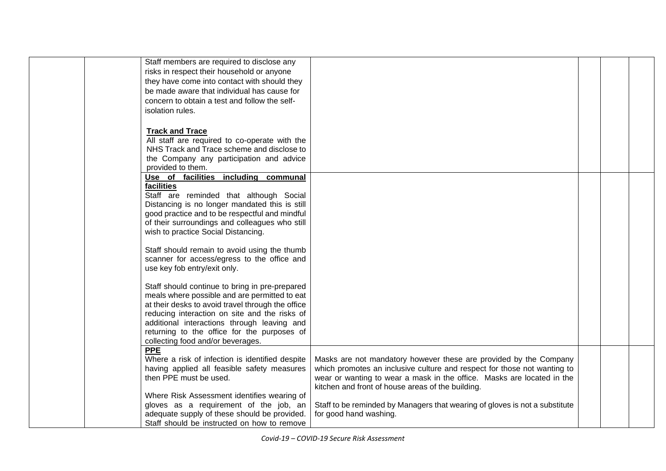|  |                                                                                                                                                                                                                                                                                                                                                                                       | Staff members are required to disclose any                                                                                                                                                                                                                                                                                                                                                                                                                                                                                                                                                                                                                                                                 |  |
|--|---------------------------------------------------------------------------------------------------------------------------------------------------------------------------------------------------------------------------------------------------------------------------------------------------------------------------------------------------------------------------------------|------------------------------------------------------------------------------------------------------------------------------------------------------------------------------------------------------------------------------------------------------------------------------------------------------------------------------------------------------------------------------------------------------------------------------------------------------------------------------------------------------------------------------------------------------------------------------------------------------------------------------------------------------------------------------------------------------------|--|
|  |                                                                                                                                                                                                                                                                                                                                                                                       | risks in respect their household or anyone                                                                                                                                                                                                                                                                                                                                                                                                                                                                                                                                                                                                                                                                 |  |
|  |                                                                                                                                                                                                                                                                                                                                                                                       | they have come into contact with should they                                                                                                                                                                                                                                                                                                                                                                                                                                                                                                                                                                                                                                                               |  |
|  |                                                                                                                                                                                                                                                                                                                                                                                       | be made aware that individual has cause for                                                                                                                                                                                                                                                                                                                                                                                                                                                                                                                                                                                                                                                                |  |
|  |                                                                                                                                                                                                                                                                                                                                                                                       | concern to obtain a test and follow the self-                                                                                                                                                                                                                                                                                                                                                                                                                                                                                                                                                                                                                                                              |  |
|  |                                                                                                                                                                                                                                                                                                                                                                                       | isolation rules.                                                                                                                                                                                                                                                                                                                                                                                                                                                                                                                                                                                                                                                                                           |  |
|  |                                                                                                                                                                                                                                                                                                                                                                                       |                                                                                                                                                                                                                                                                                                                                                                                                                                                                                                                                                                                                                                                                                                            |  |
|  |                                                                                                                                                                                                                                                                                                                                                                                       |                                                                                                                                                                                                                                                                                                                                                                                                                                                                                                                                                                                                                                                                                                            |  |
|  |                                                                                                                                                                                                                                                                                                                                                                                       | <b>Track and Trace</b>                                                                                                                                                                                                                                                                                                                                                                                                                                                                                                                                                                                                                                                                                     |  |
|  |                                                                                                                                                                                                                                                                                                                                                                                       | All staff are required to co-operate with the                                                                                                                                                                                                                                                                                                                                                                                                                                                                                                                                                                                                                                                              |  |
|  |                                                                                                                                                                                                                                                                                                                                                                                       | NHS Track and Trace scheme and disclose to                                                                                                                                                                                                                                                                                                                                                                                                                                                                                                                                                                                                                                                                 |  |
|  |                                                                                                                                                                                                                                                                                                                                                                                       | the Company any participation and advice                                                                                                                                                                                                                                                                                                                                                                                                                                                                                                                                                                                                                                                                   |  |
|  |                                                                                                                                                                                                                                                                                                                                                                                       | provided to them.                                                                                                                                                                                                                                                                                                                                                                                                                                                                                                                                                                                                                                                                                          |  |
|  |                                                                                                                                                                                                                                                                                                                                                                                       | Use of facilities including communal                                                                                                                                                                                                                                                                                                                                                                                                                                                                                                                                                                                                                                                                       |  |
|  |                                                                                                                                                                                                                                                                                                                                                                                       | facilities                                                                                                                                                                                                                                                                                                                                                                                                                                                                                                                                                                                                                                                                                                 |  |
|  |                                                                                                                                                                                                                                                                                                                                                                                       | Staff are reminded that although Social                                                                                                                                                                                                                                                                                                                                                                                                                                                                                                                                                                                                                                                                    |  |
|  |                                                                                                                                                                                                                                                                                                                                                                                       | Distancing is no longer mandated this is still                                                                                                                                                                                                                                                                                                                                                                                                                                                                                                                                                                                                                                                             |  |
|  |                                                                                                                                                                                                                                                                                                                                                                                       | good practice and to be respectful and mindful                                                                                                                                                                                                                                                                                                                                                                                                                                                                                                                                                                                                                                                             |  |
|  |                                                                                                                                                                                                                                                                                                                                                                                       | of their surroundings and colleagues who still                                                                                                                                                                                                                                                                                                                                                                                                                                                                                                                                                                                                                                                             |  |
|  |                                                                                                                                                                                                                                                                                                                                                                                       | wish to practice Social Distancing.                                                                                                                                                                                                                                                                                                                                                                                                                                                                                                                                                                                                                                                                        |  |
|  |                                                                                                                                                                                                                                                                                                                                                                                       |                                                                                                                                                                                                                                                                                                                                                                                                                                                                                                                                                                                                                                                                                                            |  |
|  |                                                                                                                                                                                                                                                                                                                                                                                       | Staff should remain to avoid using the thumb                                                                                                                                                                                                                                                                                                                                                                                                                                                                                                                                                                                                                                                               |  |
|  |                                                                                                                                                                                                                                                                                                                                                                                       |                                                                                                                                                                                                                                                                                                                                                                                                                                                                                                                                                                                                                                                                                                            |  |
|  |                                                                                                                                                                                                                                                                                                                                                                                       |                                                                                                                                                                                                                                                                                                                                                                                                                                                                                                                                                                                                                                                                                                            |  |
|  |                                                                                                                                                                                                                                                                                                                                                                                       |                                                                                                                                                                                                                                                                                                                                                                                                                                                                                                                                                                                                                                                                                                            |  |
|  |                                                                                                                                                                                                                                                                                                                                                                                       |                                                                                                                                                                                                                                                                                                                                                                                                                                                                                                                                                                                                                                                                                                            |  |
|  |                                                                                                                                                                                                                                                                                                                                                                                       |                                                                                                                                                                                                                                                                                                                                                                                                                                                                                                                                                                                                                                                                                                            |  |
|  |                                                                                                                                                                                                                                                                                                                                                                                       |                                                                                                                                                                                                                                                                                                                                                                                                                                                                                                                                                                                                                                                                                                            |  |
|  |                                                                                                                                                                                                                                                                                                                                                                                       |                                                                                                                                                                                                                                                                                                                                                                                                                                                                                                                                                                                                                                                                                                            |  |
|  |                                                                                                                                                                                                                                                                                                                                                                                       |                                                                                                                                                                                                                                                                                                                                                                                                                                                                                                                                                                                                                                                                                                            |  |
|  |                                                                                                                                                                                                                                                                                                                                                                                       |                                                                                                                                                                                                                                                                                                                                                                                                                                                                                                                                                                                                                                                                                                            |  |
|  |                                                                                                                                                                                                                                                                                                                                                                                       |                                                                                                                                                                                                                                                                                                                                                                                                                                                                                                                                                                                                                                                                                                            |  |
|  |                                                                                                                                                                                                                                                                                                                                                                                       |                                                                                                                                                                                                                                                                                                                                                                                                                                                                                                                                                                                                                                                                                                            |  |
|  |                                                                                                                                                                                                                                                                                                                                                                                       |                                                                                                                                                                                                                                                                                                                                                                                                                                                                                                                                                                                                                                                                                                            |  |
|  |                                                                                                                                                                                                                                                                                                                                                                                       |                                                                                                                                                                                                                                                                                                                                                                                                                                                                                                                                                                                                                                                                                                            |  |
|  |                                                                                                                                                                                                                                                                                                                                                                                       |                                                                                                                                                                                                                                                                                                                                                                                                                                                                                                                                                                                                                                                                                                            |  |
|  |                                                                                                                                                                                                                                                                                                                                                                                       |                                                                                                                                                                                                                                                                                                                                                                                                                                                                                                                                                                                                                                                                                                            |  |
|  |                                                                                                                                                                                                                                                                                                                                                                                       |                                                                                                                                                                                                                                                                                                                                                                                                                                                                                                                                                                                                                                                                                                            |  |
|  |                                                                                                                                                                                                                                                                                                                                                                                       |                                                                                                                                                                                                                                                                                                                                                                                                                                                                                                                                                                                                                                                                                                            |  |
|  |                                                                                                                                                                                                                                                                                                                                                                                       | Staff should be instructed on how to remove                                                                                                                                                                                                                                                                                                                                                                                                                                                                                                                                                                                                                                                                |  |
|  | Masks are not mandatory however these are provided by the Company<br>which promotes an inclusive culture and respect for those not wanting to<br>wear or wanting to wear a mask in the office. Masks are located in the<br>kitchen and front of house areas of the building.<br>Staff to be reminded by Managers that wearing of gloves is not a substitute<br>for good hand washing. | scanner for access/egress to the office and<br>use key fob entry/exit only.<br>Staff should continue to bring in pre-prepared<br>meals where possible and are permitted to eat<br>at their desks to avoid travel through the office<br>reducing interaction on site and the risks of<br>additional interactions through leaving and<br>returning to the office for the purposes of<br>collecting food and/or beverages.<br><b>PPE</b><br>Where a risk of infection is identified despite<br>having applied all feasible safety measures<br>then PPE must be used.<br>Where Risk Assessment identifies wearing of<br>gloves as a requirement of the job, an<br>adequate supply of these should be provided. |  |